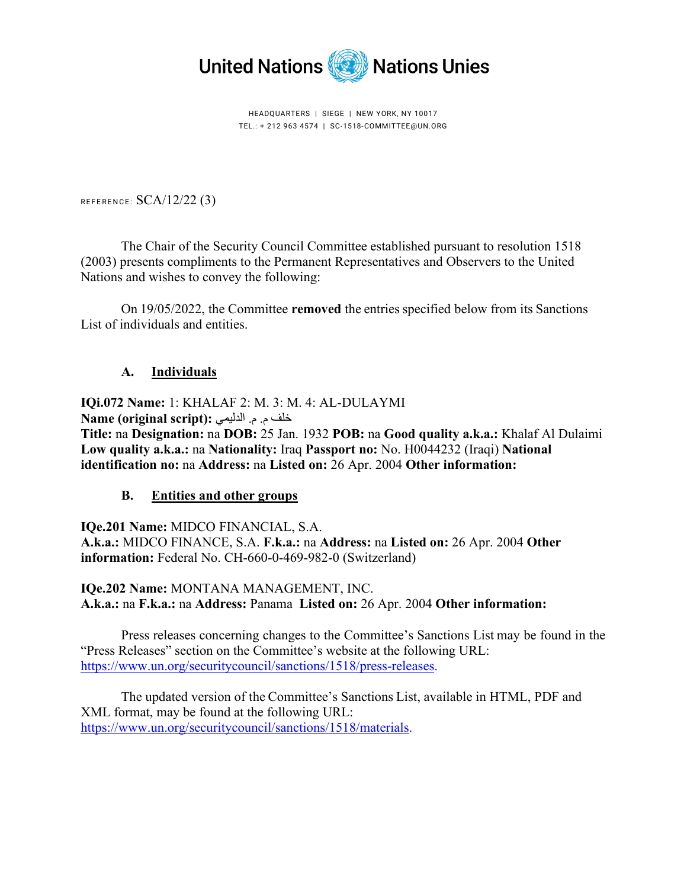

HEADQUARTERS | SIEGE | NEW YORK, NY 10017 TEL.: + 212 963 4574 | SC-1518-COMMITTEE@UN.ORG

REFERENCE: SCA/12/22 (3)

The Chair of the Security Council Committee established pursuant to resolution 1518 (2003) presents compliments to the Permanent Representatives and Observers to the United Nations and wishes to convey the following:

On 19/05/2022, the Committee **removed** the entries specified below from its Sanctions List of individuals and entities.

## **A. Individuals**

**IQi.072 Name:** 1: KHALAF 2: M. 3: M. 4: AL-DULAYMI خلف م. م. الدلیمي **:(script original (Name**

**Title:** na **Designation:** na **DOB:** 25 Jan. 1932 **POB:** na **Good quality a.k.a.:** Khalaf Al Dulaimi **Low quality a.k.a.:** na **Nationality:** Iraq **Passport no:** No. H0044232 (Iraqi) **National identification no:** na **Address:** na **Listed on:** 26 Apr. 2004 **Other information:** 

## **B. Entities and other groups**

**IQe.201 Name:** MIDCO FINANCIAL, S.A. **A.k.a.:** MIDCO FINANCE, S.A. **F.k.a.:** na **Address:** na **Listed on:** 26 Apr. 2004 **Other information:** Federal No. CH-660-0-469-982-0 (Switzerland)

**IQe.202 Name:** MONTANA MANAGEMENT, INC. **A.k.a.:** na **F.k.a.:** na **Address:** Panama **Listed on:** 26 Apr. 2004 **Other information:**

Press releases concerning changes to the Committee's Sanctions List may be found in the "Press Releases" section on the Committee's website at the following URL: [https://www.un.org/securitycouncil/sanctions/1518/press-releases.](https://www.un.org/securitycouncil/sanctions/1518/press-releases)

The updated version of the Committee's Sanctions List, available in HTML, PDF and XML format, may be found at the following URL: [https://www.un.org/securitycouncil/sanctions/1518/materials.](https://www.un.org/securitycouncil/sanctions/1518/materials)